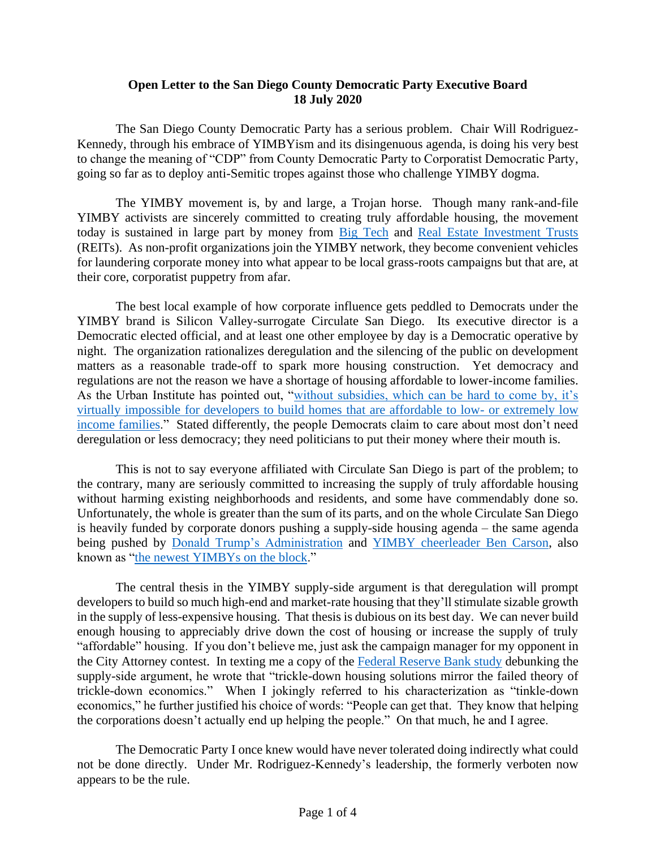## **Open Letter to the San Diego County Democratic Party Executive Board 18 July 2020**

The San Diego County Democratic Party has a serious problem. Chair Will Rodriguez-Kennedy, through his embrace of YIMBYism and its disingenuous agenda, is doing his very best to change the meaning of "CDP" from County Democratic Party to Corporatist Democratic Party, going so far as to deploy anti-Semitic tropes against those who challenge YIMBY dogma.

The YIMBY movement is, by and large, a Trojan horse. Though many rank-and-file YIMBY activists are sincerely committed to creating truly affordable housing, the movement today is sustained in large part by money from [Big Tech](https://www.citywatchla.com/index.php/cw/los-angeles/19144-inside-game-california-yimby-scott-wiener-and-big-tech-s-troubling-housing-push) and [Real Estate Investment Trusts](https://www.reit.com/news/blog/nareit-developments/nareit-backs-bipartisan-federal-legislation-reduce-barriers-affordable) (REITs). As non-profit organizations join the YIMBY network, they become convenient vehicles for laundering corporate money into what appear to be local grass-roots campaigns but that are, at their core, corporatist puppetry from afar.

The best local example of how corporate influence gets peddled to Democrats under the YIMBY brand is Silicon Valley-surrogate Circulate San Diego. Its executive director is a Democratic elected official, and at least one other employee by day is a Democratic operative by night. The organization rationalizes deregulation and the silencing of the public on development matters as a reasonable trade-off to spark more housing construction. Yet democracy and regulations are not the reason we have a shortage of housing affordable to lower-income families. As the Urban Institute has pointed out, ["without subsidies, which can be hard to come by, it's](https://www.urban.org/urban-wire/how-affordable-housing-gets-built)  [virtually impossible for developers to build homes that are affordable to low-](https://www.urban.org/urban-wire/how-affordable-housing-gets-built) or extremely low [income families.](https://www.urban.org/urban-wire/how-affordable-housing-gets-built)" Stated differently, the people Democrats claim to care about most don't need deregulation or less democracy; they need politicians to put their money where their mouth is.

This is not to say everyone affiliated with Circulate San Diego is part of the problem; to the contrary, many are seriously committed to increasing the supply of truly affordable housing without harming existing neighborhoods and residents, and some have commendably done so. Unfortunately, the whole is greater than the sum of its parts, and on the whole Circulate San Diego is heavily funded by corporate donors pushing a supply-side housing agenda – the same agenda being pushed by [Donald Trump's Administration](https://www.curbed.com/2019/6/25/18746417/trump-local-zoning-yimby-nimby-council-ben-carson) and [YIMBY cheerleader Ben Carson,](https://reason.com/2019/06/26/the-yimby-movement-has-made-it-to-d-c-republicans-are-leading-the-way/) also known as ["the newest YIMBYs on the block.](https://knock-la.com/of-course-republicans-are-yimbys-5a2ef0e93220)"

The central thesis in the YIMBY supply-side argument is that deregulation will prompt developers to build so much high-end and market-rate housing that they'll stimulate sizable growth in the supply of less-expensive housing. That thesis is dubious on its best day. We can never build enough housing to appreciably drive down the cost of housing or increase the supply of truly "affordable" housing. If you don't believe me, just ask the campaign manager for my opponent in the City Attorney contest. In texting me a copy of the [Federal Reserve Bank study](https://poseidon01.ssrn.com/delivery.php?ID=317112116088089089085114121006108004021017063051087026113021037018014106006012040115073040010052037019033114122125122012014068068046033011026107027123125068022069120115100080015094080070086112019097095064020100071009&EXT=pdf) debunking the supply-side argument, he wrote that "trickle-down housing solutions mirror the failed theory of trickle-down economics." When I jokingly referred to his characterization as "tinkle-down economics," he further justified his choice of words: "People can get that. They know that helping the corporations doesn't actually end up helping the people." On that much, he and I agree.

The Democratic Party I once knew would have never tolerated doing indirectly what could not be done directly. Under Mr. Rodriguez-Kennedy's leadership, the formerly verboten now appears to be the rule.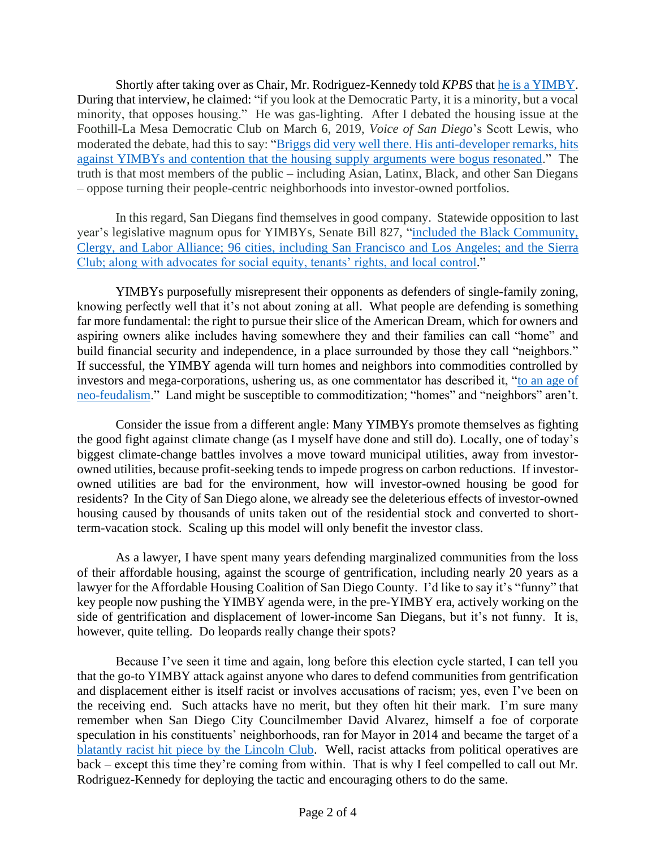Shortly after taking over as Chair, Mr. Rodriguez-Kennedy told *KPBS* tha[t he is a YIMBY.](https://www.kpbs.org/news/2019/may/28/county-democratic-party-will-rodriguez-kennedy/) During that interview, he claimed: "if you look at the Democratic Party, it is a minority, but a vocal minority, that opposes housing." He was gas-lighting. After I debated the housing issue at the Foothill-La Mesa Democratic Club on March 6, 2019, *Voice of San Diego*'s Scott Lewis, who moderated the debate, had this to say: ["Briggs did very well there. His anti-developer remarks, hits](https://www.voiceofsandiego.org/topics/politics/theyre-coming-for-our-homes-bry-blasts-yimby-movement/)  against YIMBYs and contention that the [housing supply arguments were bogus resonated.](https://www.voiceofsandiego.org/topics/politics/theyre-coming-for-our-homes-bry-blasts-yimby-movement/)" The truth is that most members of the public – including Asian, Latinx, Black, and other San Diegans – oppose turning their people-centric neighborhoods into investor-owned portfolios.

In this regard, San Diegans find themselves in good company. Statewide opposition to last year's legislative magnum opus for YIMBYs, Senate Bill 827, ["included the Black Community,](https://www.citywatchla.com/index.php/2016-01-01-13-17-00/los-angeles/16259-california-s-yimbys-the-growth-machine-s-shock-troops)  [Clergy, and Labor Alliance; 96 cities, including San Francisco and Los Angeles; and the Sierra](https://www.citywatchla.com/index.php/2016-01-01-13-17-00/los-angeles/16259-california-s-yimbys-the-growth-machine-s-shock-troops)  [Club; along with advocates for social equity, tenants' rights, and local control.](https://www.citywatchla.com/index.php/2016-01-01-13-17-00/los-angeles/16259-california-s-yimbys-the-growth-machine-s-shock-troops)"

YIMBYs purposefully misrepresent their opponents as defenders of single-family zoning, knowing perfectly well that it's not about zoning at all. What people are defending is something far more fundamental: the right to pursue their slice of the American Dream, which for owners and aspiring owners alike includes having somewhere they and their families can call "home" and build financial security and independence, in a place surrounded by those they call "neighbors." If successful, the YIMBY agenda will turn homes and neighbors into commodities controlled by investors and mega-corporations, ushering us, as one commentator has described it, ["to an age of](https://www.foxandhoundsdaily.com/2019/06/no-density-doesnt-rhyme-with-sanity/)  [neo-feudalism.](https://www.foxandhoundsdaily.com/2019/06/no-density-doesnt-rhyme-with-sanity/)" Land might be susceptible to commoditization; "homes" and "neighbors" aren't.

Consider the issue from a different angle: Many YIMBYs promote themselves as fighting the good fight against climate change (as I myself have done and still do). Locally, one of today's biggest climate-change battles involves a move toward municipal utilities, away from investorowned utilities, because profit-seeking tends to impede progress on carbon reductions. If investorowned utilities are bad for the environment, how will investor-owned housing be good for residents? In the City of San Diego alone, we already see the deleterious effects of investor-owned housing caused by thousands of units taken out of the residential stock and converted to shortterm-vacation stock. Scaling up this model will only benefit the investor class.

As a lawyer, I have spent many years defending marginalized communities from the loss of their affordable housing, against the scourge of gentrification, including nearly 20 years as a lawyer for the Affordable Housing Coalition of San Diego County. I'd like to say it's "funny" that key people now pushing the YIMBY agenda were, in the pre-YIMBY era, actively working on the side of gentrification and displacement of lower-income San Diegans, but it's not funny. It is, however, quite telling. Do leopards really change their spots?

Because I've seen it time and again, long before this election cycle started, I can tell you that the go-to YIMBY attack against anyone who dares to defend communities from gentrification and displacement either is itself racist or involves accusations of racism; yes, even I've been on the receiving end. Such attacks have no merit, but they often hit their mark. I'm sure many remember when San Diego City Councilmember David Alvarez, himself a foe of corporate speculation in his constituents' neighborhoods, ran for Mayor in 2014 and became the target of a [blatantly racist hit piece by the Lincoln Club.](https://www.kpbs.org/news/2014/feb/05/whistling-race-card-san-diegos-mayoral-election/) Well, racist attacks from political operatives are back – except this time they're coming from within. That is why I feel compelled to call out Mr. Rodriguez-Kennedy for deploying the tactic and encouraging others to do the same.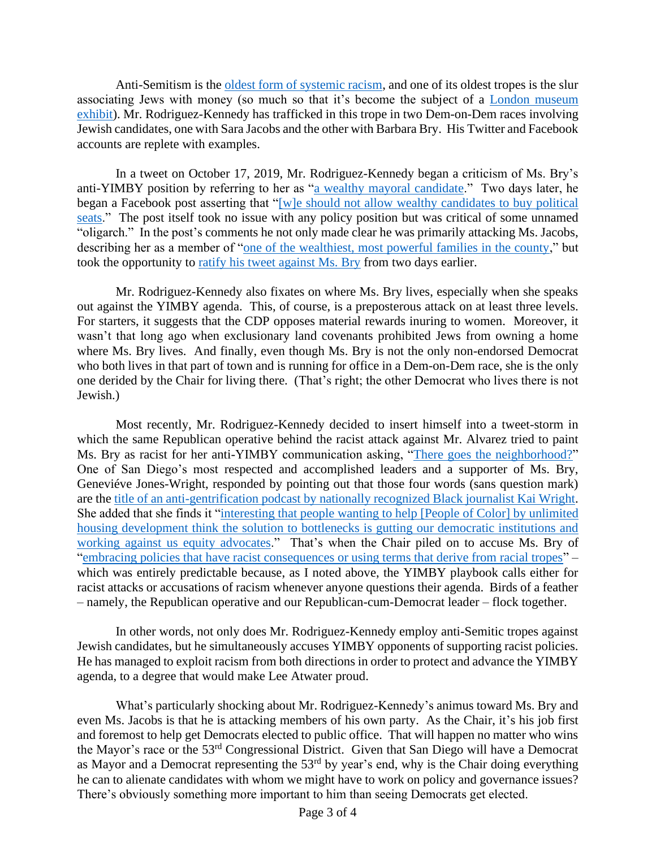Anti-Semitism is the [oldest form of systemic racism,](https://www.telegraph.co.uk/culture/books/3604398/The-oldest-form-of-racism.html) and one of its oldest tropes is the slur associating Jews with money (so much so that it's become the subject of a [London museum](https://www.theguardian.com/world/2019/jan/31/london-jewish-museum-to-explore-tropes-about-money)  [exhibit\)](https://www.theguardian.com/world/2019/jan/31/london-jewish-museum-to-explore-tropes-about-money). Mr. Rodriguez-Kennedy has trafficked in this trope in two Dem-on-Dem races involving Jewish candidates, one with Sara Jacobs and the other with Barbara Bry. His Twitter and Facebook accounts are replete with examples.

In a tweet on October 17, 2019, Mr. Rodriguez-Kennedy began a criticism of Ms. Bry's anti-YIMBY position by referring to her as ["a wealthy mayoral candidate.](https://drive.google.com/file/d/1rRA0maiEmHQ4ufvTiZdMGlRB-Ae33njT/view?usp=sharing)" Two days later, he began a Facebook post asserting that "[w]e should not allow wealthy candidates to buy political [seats.](https://drive.google.com/file/d/132FEiEkaJTFDqVvswdnpBf97u3YkQQOJ/view?usp=sharing)" The post itself took no issue with any policy position but was critical of some unnamed "oligarch." In the post's comments he not only made clear he was primarily attacking Ms. Jacobs, describing her as a member of ["one of the wealthiest, most powerful families in the county,](https://drive.google.com/file/d/1W_hXtGhi0iFg1LIgcXDmb86zsXdtGUbC/view?usp=sharing)" but took the opportunity to [ratify his tweet against Ms. Bry](https://drive.google.com/file/d/1TYaNqPaErNCqcJIQFq6fHWiSlJoD608a/view?usp=sharing) from two days earlier.

Mr. Rodriguez-Kennedy also fixates on where Ms. Bry lives, especially when she speaks out against the YIMBY agenda. This, of course, is a preposterous attack on at least three levels. For starters, it suggests that the CDP opposes material rewards inuring to women. Moreover, it wasn't that long ago when exclusionary land covenants prohibited Jews from owning a home where Ms. Bry lives. And finally, even though Ms. Bry is not the only non-endorsed Democrat who both lives in that part of town and is running for office in a Dem-on-Dem race, she is the only one derided by the Chair for living there. (That's right; the other Democrat who lives there is not Jewish.)

Most recently, Mr. Rodriguez-Kennedy decided to insert himself into a tweet-storm in which the same Republican operative behind the racist attack against Mr. Alvarez tried to paint Ms. Bry as racist for her anti-YIMBY communication asking, ["There goes the neighborhood?"](https://drive.google.com/file/d/1ZBAbtCAkKPRoh2Ce9_OrD8YpGVPwgp4x/view?usp=sharing) One of San Diego's most respected and accomplished leaders and a supporter of Ms. Bry, Geneviéve Jones-Wright, responded by pointing out that those four words (sans question mark) are the [title of an anti-gentrification podcast by nationally recognized Black journalist Kai Wright.](https://drive.google.com/file/d/11PjcNqiHUv-NwrwOOSgkjg-SfgZ4_LrC/view?usp=sharing) She added that she finds it ["interesting that people wanting to help \[People of Color\] by unlimited](https://drive.google.com/file/d/1vf6kHbWN9_kFO-t3GWUXhA0UyUm_fgCR/view?usp=sharing)  [housing development think the solution to bottlenecks is gutting our democratic institutions and](https://drive.google.com/file/d/1vf6kHbWN9_kFO-t3GWUXhA0UyUm_fgCR/view?usp=sharing)  [working against us equity advocates.](https://drive.google.com/file/d/1vf6kHbWN9_kFO-t3GWUXhA0UyUm_fgCR/view?usp=sharing)" That's when the Chair piled on to accuse Ms. Bry of ["embracing policies that have racist consequences or using terms that derive from racial tropes"](https://drive.google.com/file/d/1TkbcbmY5GzUqaZ6L4Oh6E-rGHAEXdKX1/view?usp=sharing) – which was entirely predictable because, as I noted above, the YIMBY playbook calls either for racist attacks or accusations of racism whenever anyone questions their agenda. Birds of a feather – namely, the Republican operative and our Republican-cum-Democrat leader – flock together.

In other words, not only does Mr. Rodriguez-Kennedy employ anti-Semitic tropes against Jewish candidates, but he simultaneously accuses YIMBY opponents of supporting racist policies. He has managed to exploit racism from both directions in order to protect and advance the YIMBY agenda, to a degree that would make Lee Atwater proud.

What's particularly shocking about Mr. Rodriguez-Kennedy's animus toward Ms. Bry and even Ms. Jacobs is that he is attacking members of his own party. As the Chair, it's his job first and foremost to help get Democrats elected to public office. That will happen no matter who wins the Mayor's race or the 53rd Congressional District. Given that San Diego will have a Democrat as Mayor and a Democrat representing the 53<sup>rd</sup> by year's end, why is the Chair doing everything he can to alienate candidates with whom we might have to work on policy and governance issues? There's obviously something more important to him than seeing Democrats get elected.